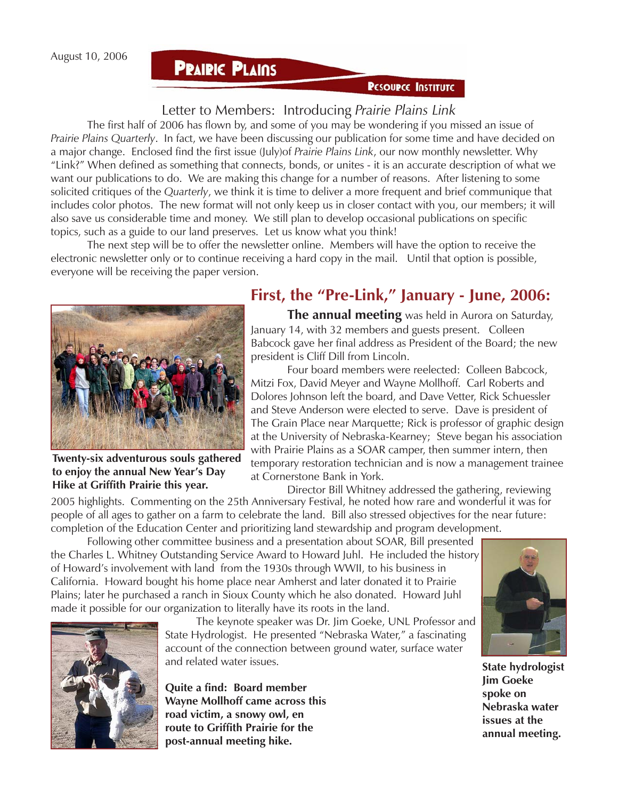#### **PRAIRIC PLAINS**

#### **PESOUPCE INSTITUTE**

#### Letter to Members: Introducing *Prairie Plains Link*

The first half of 2006 has flown by, and some of you may be wondering if you missed an issue of *Prairie Plains Quarterly*. In fact, we have been discussing our publication for some time and have decided on a major change. Enclosed find the first issue (July)of *Prairie Plains Link*, our now monthly newsletter. Why "Link?" When defined as something that connects, bonds, or unites - it is an accurate description of what we want our publications to do. We are making this change for a number of reasons. After listening to some solicited critiques of the *Quarterly*, we think it is time to deliver a more frequent and brief communique that includes color photos. The new format will not only keep us in closer contact with you, our members; it will also save us considerable time and money. We still plan to develop occasional publications on specific topics, such as a guide to our land preserves. Let us know what you think!

The next step will be to offer the newsletter online. Members will have the option to receive the electronic newsletter only or to continue receiving a hard copy in the mail. Until that option is possible, everyone will be receiving the paper version.



**Twenty-six adventurous souls gathered to enjoy the annual New Year's Day Hike at Griffith Prairie this year.**

#### **First, the "Pre-Link," January - June, 2006:**

**The annual meeting** was held in Aurora on Saturday, January 14, with 32 members and guests present. Colleen Babcock gave her final address as President of the Board; the new president is Cliff Dill from Lincoln.

Four board members were reelected: Colleen Babcock, Mitzi Fox, David Meyer and Wayne Mollhoff. Carl Roberts and Dolores Johnson left the board, and Dave Vetter, Rick Schuessler and Steve Anderson were elected to serve. Dave is president of The Grain Place near Marquette; Rick is professor of graphic design at the University of Nebraska-Kearney; Steve began his association with Prairie Plains as a SOAR camper, then summer intern, then temporary restoration technician and is now a management trainee at Cornerstone Bank in York.

Director Bill Whitney addressed the gathering, reviewing 2005 highlights. Commenting on the 25th Anniversary Festival, he noted how rare and wonderful it was for people of all ages to gather on a farm to celebrate the land. Bill also stressed objectives for the near future: completion of the Education Center and prioritizing land stewardship and program development.

Following other committee business and a presentation about SOAR, Bill presented the Charles L. Whitney Outstanding Service Award to Howard Juhl. He included the history of Howard's involvement with land from the 1930s through WWII, to his business in California. Howard bought his home place near Amherst and later donated it to Prairie Plains; later he purchased a ranch in Sioux County which he also donated. Howard Juhl made it possible for our organization to literally have its roots in the land.



The keynote speaker was Dr. Jim Goeke, UNL Professor and State Hydrologist. He presented "Nebraska Water," a fascinating account of the connection between ground water, surface water and related water issues. **State hydrologist**

**Quite a find: Board member Wayne Mollhoff came across this road victim, a snowy owl, en route to Griffith Prairie for the post-annual meeting hike.**



**Jim Goeke spoke on Nebraska water issues at the annual meeting.**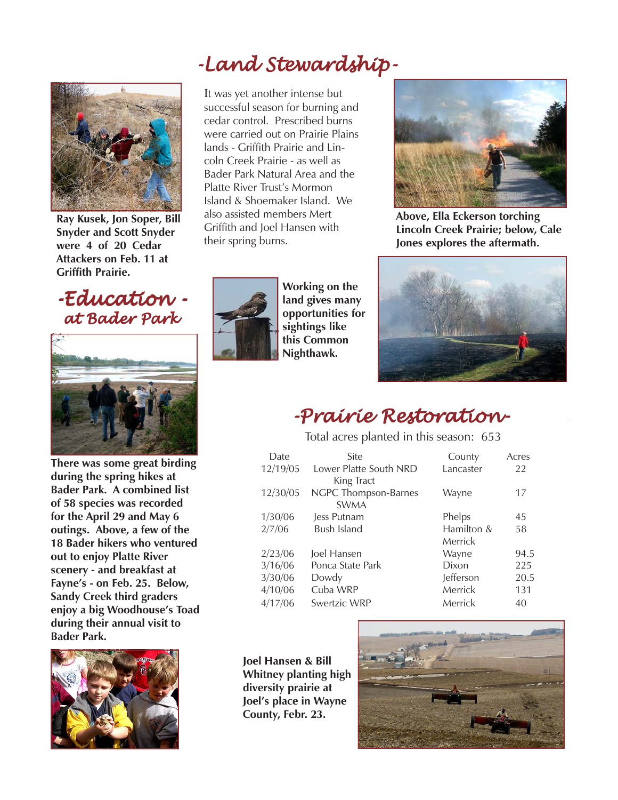# -Land Stewardship-



**Ray Kusek, Jon Soper, Bill Snyder and Scott Snyder were 4 of 20 Cedar Attackers on Feb. 11 at Griffith Prairie.**

### -Education - -Education at Bader Park



**There was some great birding during the spring hikes at Bader Park. A combined list of 58 species was recorded for the April 29 and May 6 outings. Above, a few of the 18 Bader hikers who ventured out to enjoy Platte River scenery - and breakfast at Fayne's - on Feb. 25. Below, Sandy Creek third graders enjoy a big Woodhouse's Toad during their annual visit to Bader Park.**



It was yet another intense but successful season for burning and cedar control. Prescribed burns were carried out on Prairie Plains lands - Griffith Prairie and Lincoln Creek Prairie - as well as Bader Park Natural Area and the Platte River Trust's Mormon Island & Shoemaker Island. We also assisted members Mert Griffith and Joel Hansen with their spring burns.



**Above, Ella Eckerson torching Lincoln Creek Prairie; below, Cale Jones explores the aftermath.**



**Working on the land gives many opportunities for sightings like this Common Nighthawk.**



### -Prairie Restoration- -Prairie Restoration-

Total acres planted in this season: 653

| Date     | Site                   | County     | Acres |
|----------|------------------------|------------|-------|
| 12/19/05 | Lower Platte South NRD | Lancaster  | 22    |
|          | King Tract             |            |       |
| 12/30/05 | NGPC Thompson-Barnes   | Wayne      | 17    |
|          | <b>SWMA</b>            |            |       |
| 1/30/06  | Jess Putnam            | Phelps     | 45    |
| 2/7/06   | <b>Bush Island</b>     | Hamilton & | 58    |
|          |                        | Merrick    |       |
| 2/23/06  | Joel Hansen            | Wayne      | 94.5  |
| 3/16/06  | Ponca State Park       | Dixon      | 225   |
| 3/30/06  | Dowdy                  | Jefferson  | 20.5  |
| 4/10/06  | Cuba WRP               | Merrick    | 131   |
| 4/17/06  | Swertzic WRP           | Merrick    | 40    |

**Joel Hansen & Bill Whitney planting high diversity prairie at Joel's place in Wayne County, Febr. 23.**

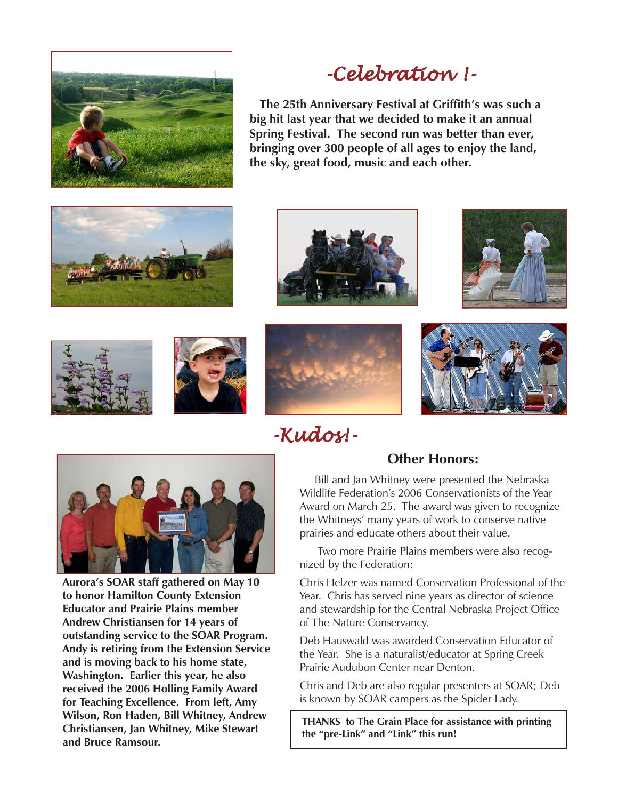

# -Celebration !- -Celebration !-

 **The 25th Anniversary Festival at Griffith's was such a big hit last year that we decided to make it an annual Spring Festival. The second run was better than ever, bringing over 300 people of all ages to enjoy the land, the sky, great food, music and each other.**













## -Kudos!- -Kudos!-



**Aurora's SOAR staff gathered on May 10 to honor Hamilton County Extension Educator and Prairie Plains member Andrew Christiansen for 14 years of outstanding service to the SOAR Program. Andy is retiring from the Extension Service and is moving back to his home state, Washington. Earlier this year, he also received the 2006 Holling Family Award for Teaching Excellence. From left, Amy Wilson, Ron Haden, Bill Whitney, Andrew Christiansen, Jan Whitney, Mike Stewart and Bruce Ramsour.**

#### **Other Honors:**

 Bill and Jan Whitney were presented the Nebraska Wildlife Federation's 2006 Conservationists of the Year Award on March 25. The award was given to recognize the Whitneys' many years of work to conserve native prairies and educate others about their value.

 Two more Prairie Plains members were also recognized by the Federation:

Chris Helzer was named Conservation Professional of the Year. Chris has served nine years as director of science and stewardship for the Central Nebraska Project Office of The Nature Conservancy.

Deb Hauswald was awarded Conservation Educator of the Year. She is a naturalist/educator at Spring Creek Prairie Audubon Center near Denton.

Chris and Deb are also regular presenters at SOAR; Deb is known by SOAR campers as the Spider Lady.

**THANKS to The Grain Place for assistance with printing the "pre-Link" and "Link" this run!**